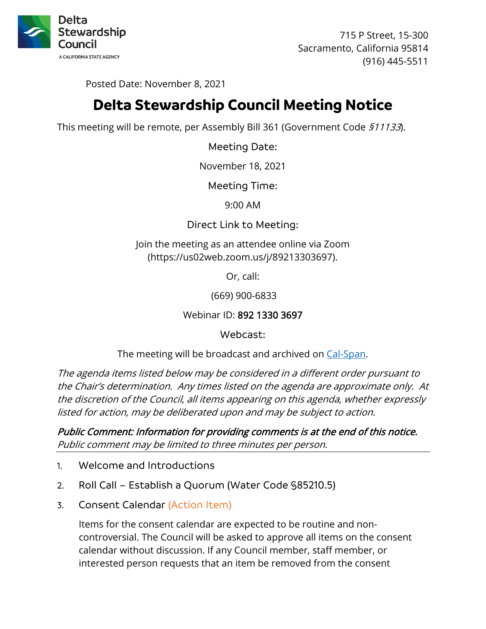

715 P Street, 15-300 Sacramento, California 95814 (916) 445-5511

Posted Date: November 8, 2021

# **Delta Stewardship Council Meeting Notice**

This meeting will be remote, per Assembly Bill 361 (Government Code 511133).

Meeting Date:

November 18, 2021

Meeting Time:

9:00 AM

Direct Link to Meeting:

Join the meeting as an attendee online via Zoom (https://us02web.zoom.us/j/89213303697).

Or, call:

(669) 900-6833

Webinar ID: 892 1330 3697

Webcast:

The meeting will be broadcast and archived on [Cal-Span.](https://www.cal-span.org/)

The agenda items listed below may be considered in a different order pursuant to the Chair's determination. Any times listed on the agenda are approximate only. At the discretion of the Council, all items appearing on this agenda, whether expressly listed for action, may be deliberated upon and may be subject to action.

Public Comment: Information for providing comments is at the end of this notice. Public comment may be limited to three minutes per person.

- 1. Welcome and Introductions
- 2. Roll Call Establish a Quorum (Water Code §85210.5)
- 3. Consent Calendar (Action Item)

Items for the consent calendar are expected to be routine and noncontroversial. The Council will be asked to approve all items on the consent calendar without discussion. If any Council member, staff member, or interested person requests that an item be removed from the consent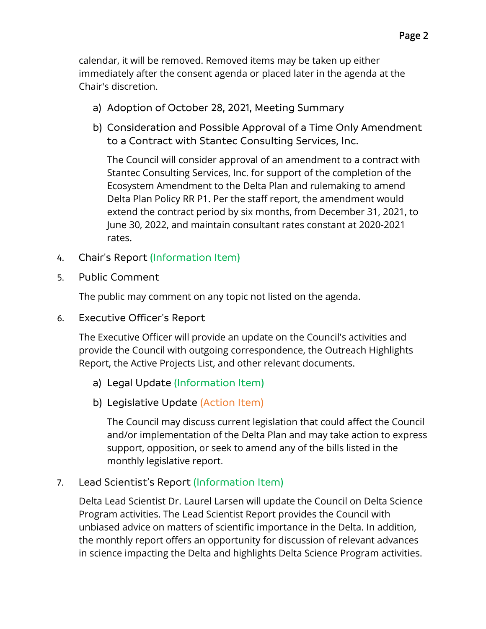calendar, it will be removed. Removed items may be taken up either immediately after the consent agenda or placed later in the agenda at the Chair's discretion.

- a) Adoption of October 28, 2021, Meeting Summary
- b) Consideration and Possible Approval of a Time Only Amendment to a Contract with Stantec Consulting Services, Inc.

The Council will consider approval of an amendment to a contract with Stantec Consulting Services, Inc. for support of the completion of the Ecosystem Amendment to the Delta Plan and rulemaking to amend Delta Plan Policy RR P1. Per the staff report, the amendment would extend the contract period by six months, from December 31, 2021, to June 30, 2022, and maintain consultant rates constant at 2020-2021 rates.

- 4. Chair's Report (Information Item)
- 5. Public Comment

The public may comment on any topic not listed on the agenda.

6. Executive Officer's Report

The Executive Officer will provide an update on the Council's activities and provide the Council with outgoing correspondence, the Outreach Highlights Report, the Active Projects List, and other relevant documents.

- a) Legal Update (Information Item)
- b) Legislative Update (Action Item)

The Council may discuss current legislation that could affect the Council and/or implementation of the Delta Plan and may take action to express support, opposition, or seek to amend any of the bills listed in the monthly legislative report.

# 7. Lead Scientist's Report (Information Item)

Delta Lead Scientist Dr. Laurel Larsen will update the Council on Delta Science Program activities. The Lead Scientist Report provides the Council with unbiased advice on matters of scientific importance in the Delta. In addition, the monthly report offers an opportunity for discussion of relevant advances in science impacting the Delta and highlights Delta Science Program activities.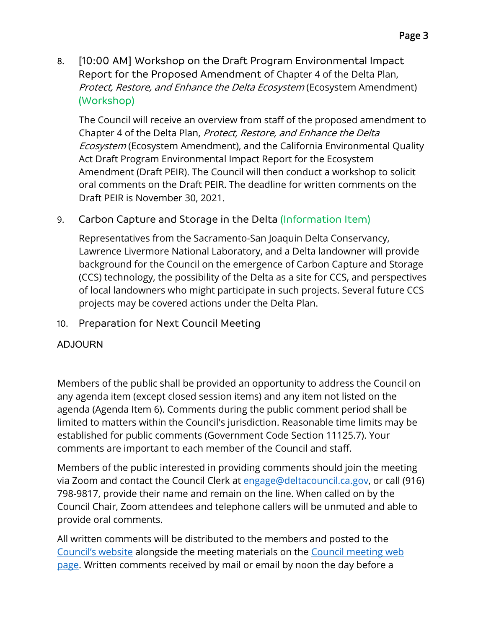8. [10:00 AM] Workshop on the Draft Program Environmental Impact Report for the Proposed Amendment of Chapter 4 of the Delta Plan, Protect, Restore, and Enhance the Delta Ecosystem (Ecosystem Amendment) (Workshop)

The Council will receive an overview from staff of the proposed amendment to Chapter 4 of the Delta Plan, Protect, Restore, and Enhance the Delta Ecosystem (Ecosystem Amendment), and the California Environmental Quality Act Draft Program Environmental Impact Report for the Ecosystem Amendment (Draft PEIR). The Council will then conduct a workshop to solicit oral comments on the Draft PEIR. The deadline for written comments on the Draft PEIR is November 30, 2021.

# 9. Carbon Capture and Storage in the Delta (Information Item)

Representatives from the Sacramento-San Joaquin Delta Conservancy, Lawrence Livermore National Laboratory, and a Delta landowner will provide background for the Council on the emergence of Carbon Capture and Storage (CCS) technology, the possibility of the Delta as a site for CCS, and perspectives of local landowners who might participate in such projects. Several future CCS projects may be covered actions under the Delta Plan.

# 10. Preparation for Next Council Meeting

# ADJOURN

Members of the public shall be provided an opportunity to address the Council on any agenda item (except closed session items) and any item not listed on the agenda (Agenda Item 6). Comments during the public comment period shall be limited to matters within the Council's jurisdiction. Reasonable time limits may be established for public comments (Government Code Section 11125.7). Your comments are important to each member of the Council and staff.

Members of the public interested in providing comments should join the meeting via Zoom and contact the Council Clerk at [engage@deltacouncil.ca.gov,](mailto:engage@deltacouncil.ca.gov) or call (916) 798-9817, provide their name and remain on the line. When called on by the Council Chair, Zoom attendees and telephone callers will be unmuted and able to provide oral comments.

All written comments will be distributed to the members and posted to the [Council's website](https://deltacouncil.ca.gov/) alongside the meeting materials on the [Council meeting](https://deltacouncil.ca.gov/council-meetings) web [page.](https://deltacouncil.ca.gov/council-meetings) Written comments received by mail or email by noon the day before a